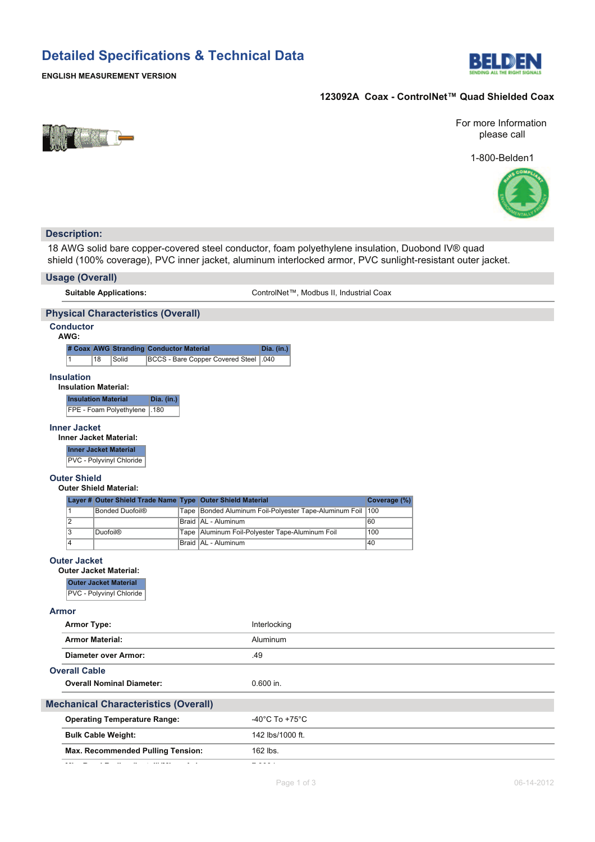# **Detailed Specifications & Technical Data**



## **ENGLISH MEASUREMENT VERSION**

# 123092A Coax - ControlNet™ Quad Shielded Coax



### For more Information please call

1-800-Belden1



| <b>Description:</b>                                                                                                                                                                                            |                                                          |  |  |  |  |  |  |
|----------------------------------------------------------------------------------------------------------------------------------------------------------------------------------------------------------------|----------------------------------------------------------|--|--|--|--|--|--|
| 18 AWG solid bare copper-covered steel conductor, foam polyethylene insulation, Duobond IV® quad<br>shield (100% coverage), PVC inner jacket, aluminum interlocked armor, PVC sunlight-resistant outer jacket. |                                                          |  |  |  |  |  |  |
| <b>Usage (Overall)</b>                                                                                                                                                                                         |                                                          |  |  |  |  |  |  |
| <b>Suitable Applications:</b>                                                                                                                                                                                  | ControlNet™, Modbus II, Industrial Coax                  |  |  |  |  |  |  |
| <b>Physical Characteristics (Overall)</b>                                                                                                                                                                      |                                                          |  |  |  |  |  |  |
| <b>Conductor</b><br>AWG:                                                                                                                                                                                       |                                                          |  |  |  |  |  |  |
| # Coax AWG Stranding Conductor Material<br>1<br>18<br><b>BCCS - Bare Copper Covered Steel</b><br>Solid                                                                                                         | Dia. (in.)<br>.040                                       |  |  |  |  |  |  |
| <b>Insulation</b><br><b>Insulation Material:</b><br><b>Insulation Material</b><br>Dia. (in.)<br>FPE - Foam Polyethylene<br>.180                                                                                |                                                          |  |  |  |  |  |  |
| <b>Inner Jacket</b><br><b>Inner Jacket Material:</b><br><b>Inner Jacket Material</b><br>PVC - Polyvinyl Chloride                                                                                               |                                                          |  |  |  |  |  |  |
| <b>Outer Shield</b><br><b>Outer Shield Material:</b>                                                                                                                                                           |                                                          |  |  |  |  |  |  |
| Layer # Outer Shield Trade Name Type Outer Shield Material                                                                                                                                                     | Coverage (%)                                             |  |  |  |  |  |  |
| 1<br><b>Bonded Duofoil®</b><br>Tape                                                                                                                                                                            | Bonded Aluminum Foil-Polyester Tape-Aluminum Foil<br>100 |  |  |  |  |  |  |
| $\overline{2}$<br>Braid   AL - Aluminum<br>$\overline{3}$                                                                                                                                                      | 60<br>Aluminum Foil-Polyester Tape-Aluminum Foil<br>100  |  |  |  |  |  |  |
| <b>Duofoil®</b><br>Tape<br>4<br>Braid   AL - Aluminum                                                                                                                                                          | 40                                                       |  |  |  |  |  |  |
| <b>Outer Jacket</b><br><b>Outer Jacket Material:</b><br><b>Outer Jacket Material</b><br>PVC - Polyvinyl Chloride                                                                                               |                                                          |  |  |  |  |  |  |
| <b>Armor</b>                                                                                                                                                                                                   |                                                          |  |  |  |  |  |  |
| <b>Armor Type:</b>                                                                                                                                                                                             | Interlocking                                             |  |  |  |  |  |  |
| <b>Armor Material:</b>                                                                                                                                                                                         | Aluminum                                                 |  |  |  |  |  |  |
| Diameter over Armor:                                                                                                                                                                                           | .49                                                      |  |  |  |  |  |  |
| <b>Overall Cable</b>                                                                                                                                                                                           |                                                          |  |  |  |  |  |  |
| <b>Overall Nominal Diameter:</b><br>$0.600$ in.                                                                                                                                                                |                                                          |  |  |  |  |  |  |
| <b>Mechanical Characteristics (Overall)</b>                                                                                                                                                                    |                                                          |  |  |  |  |  |  |
| <b>Operating Temperature Range:</b>                                                                                                                                                                            | -40 $^{\circ}$ C To +75 $^{\circ}$ C                     |  |  |  |  |  |  |
| <b>Bulk Cable Weight:</b>                                                                                                                                                                                      | 142 lbs/1000 ft.                                         |  |  |  |  |  |  |
| Max. Recommended Pulling Tension:                                                                                                                                                                              | 162 lbs.                                                 |  |  |  |  |  |  |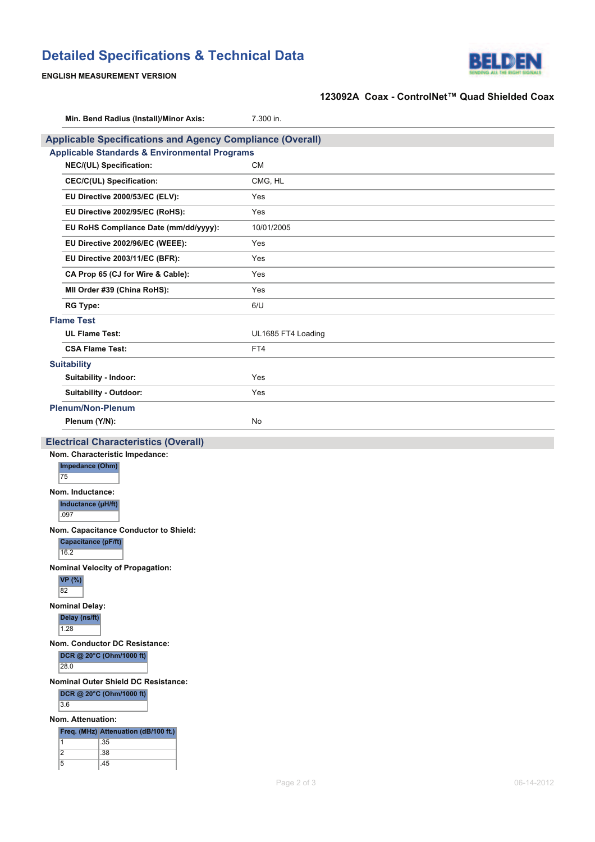# **Detailed Specifications & Technical Data**



## **ENGLISH MEASUREMENT VERSION**

# 123092A Coax - ControlNet™ Quad Shielded Coax

|                                            | Min. Bend Radius (Install)/Minor Axis:                           | 7.300 in.          |  |  |  |  |
|--------------------------------------------|------------------------------------------------------------------|--------------------|--|--|--|--|
|                                            | <b>Applicable Specifications and Agency Compliance (Overall)</b> |                    |  |  |  |  |
|                                            | <b>Applicable Standards &amp; Environmental Programs</b>         |                    |  |  |  |  |
|                                            | NEC/(UL) Specification:                                          | <b>CM</b>          |  |  |  |  |
|                                            | <b>CEC/C(UL) Specification:</b>                                  | CMG, HL            |  |  |  |  |
|                                            | EU Directive 2000/53/EC (ELV):                                   | Yes                |  |  |  |  |
|                                            | EU Directive 2002/95/EC (RoHS):                                  | Yes                |  |  |  |  |
|                                            | EU RoHS Compliance Date (mm/dd/yyyy):                            | 10/01/2005         |  |  |  |  |
|                                            | EU Directive 2002/96/EC (WEEE):                                  | Yes                |  |  |  |  |
|                                            | EU Directive 2003/11/EC (BFR):                                   | Yes                |  |  |  |  |
|                                            | CA Prop 65 (CJ for Wire & Cable):                                | Yes                |  |  |  |  |
|                                            | MII Order #39 (China RoHS):                                      | Yes                |  |  |  |  |
|                                            | <b>RG Type:</b>                                                  | 6/U                |  |  |  |  |
|                                            | <b>Flame Test</b>                                                |                    |  |  |  |  |
|                                            | <b>UL Flame Test:</b>                                            | UL1685 FT4 Loading |  |  |  |  |
|                                            | <b>CSA Flame Test:</b>                                           | FT4                |  |  |  |  |
|                                            | <b>Suitability</b>                                               |                    |  |  |  |  |
|                                            | Suitability - Indoor:                                            | Yes                |  |  |  |  |
|                                            | Suitability - Outdoor:                                           | Yes                |  |  |  |  |
|                                            | <b>Plenum/Non-Plenum</b>                                         |                    |  |  |  |  |
|                                            | Plenum (Y/N):<br>No                                              |                    |  |  |  |  |
|                                            | <b>Electrical Characteristics (Overall)</b>                      |                    |  |  |  |  |
|                                            | Nom. Characteristic Impedance:                                   |                    |  |  |  |  |
|                                            | Impedance (Ohm)<br>75                                            |                    |  |  |  |  |
|                                            | Nom. Inductance:                                                 |                    |  |  |  |  |
|                                            | Inductance (µH/ft)                                               |                    |  |  |  |  |
|                                            | .097                                                             |                    |  |  |  |  |
|                                            | Nom. Capacitance Conductor to Shield:                            |                    |  |  |  |  |
|                                            | <b>Capacitance (pF/ft)</b><br>16.2                               |                    |  |  |  |  |
|                                            | <b>Nominal Velocity of Propagation:</b>                          |                    |  |  |  |  |
| <b>VP</b> (%)                              |                                                                  |                    |  |  |  |  |
| 82                                         |                                                                  |                    |  |  |  |  |
| <b>Nominal Delay:</b><br>Delay (ns/ft)     |                                                                  |                    |  |  |  |  |
| 1.28                                       |                                                                  |                    |  |  |  |  |
| Nom. Conductor DC Resistance:              |                                                                  |                    |  |  |  |  |
| DCR @ 20°C (Ohm/1000 ft)<br>28.0           |                                                                  |                    |  |  |  |  |
| <b>Nominal Outer Shield DC Resistance:</b> |                                                                  |                    |  |  |  |  |
| DCR @ 20°C (Ohm/1000 ft)                   |                                                                  |                    |  |  |  |  |
|                                            | 3.6                                                              |                    |  |  |  |  |
|                                            | Nom. Attenuation:                                                |                    |  |  |  |  |
|                                            | Freq. (MHz) Attenuation (dB/100 ft.)                             |                    |  |  |  |  |
| $\vert$ 1<br>$\overline{2}$                | .35<br>.38                                                       |                    |  |  |  |  |
| $\overline{5}$                             | .45                                                              |                    |  |  |  |  |